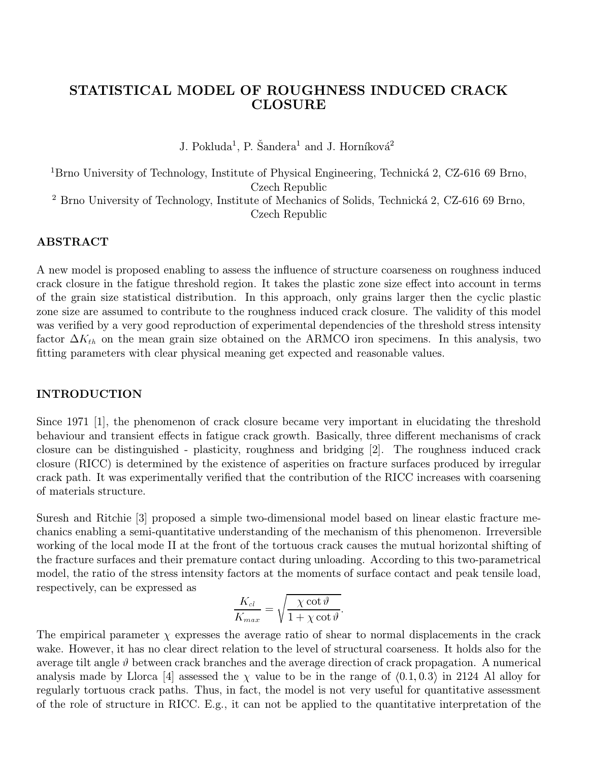## STATISTICAL MODEL OF ROUGHNESS INDUCED CRACK <u>c</u>

J. Pokluda<sup>1</sup>, P. Šandera<sup>1</sup> and J. Horníková<sup>2</sup>

<sup>1</sup>Brno University of Technology, Institute of Physical Engineering, Technická 2, CZ-616 69 Brno, Czech Republic <sup>2</sup> Brno University of Technology, Institute of Mechanics of Solids, Technická 2, CZ-616 69 Brno, Czech Republic

## $\overline{\phantom{a}}$

A new model is proposed enabling to assess the influence of structure coarseness on roughness induced crack closure in the fatigue threshold region. It takes the plastic zone size effect into account in terms of the grain size statistical distribution. In this approach, only grains larger then the cyclic plastic zone size are assumed to contribute to the roughness induced crack closure. The validity of this model was verified by a very good reproduction of experimental dependencies of the threshold stress intensity factor  $\Delta K_{th}$  on the mean grain size obtained on the ARMCO iron specimens. In this analysis, two fitting parameters with clear physical meaning get expected and reasonable values.

## INTRODUCTION

Since 1971 [1], the phenomenon of crack closure became very important in elucidating the threshold behaviour and transient effects in fatigue crack growth. Basically, three different mechanisms of crack closure can be distinguished - plasticity, roughness and bridging [2]. The roughness induced crack closure (RICC) is determined by the existence of asperities on fracture surfaces produced by irregular crack path. It was experimentally verified that the contribution of the RICC increases with coarsening of materials structure.

Suresh and Ritchie [3] proposed a simple two-dimensional model based on linear elastic fracture mechanics enabling a semi-quantitative understanding of the mechanism of this phenomenon. Irreversible working of the local mode II at the front of the tortuous crack causes the mutual horizontal shifting of the fracture surfaces and their premature contact during unloading. According to this two-parametrical model, the ratio of the stress intensity factors at the moments of surface contact and peak tensile load, respectively, can be expressed as

$$
\frac{K_{cl}}{K_{max}} = \sqrt{\frac{\chi \cot \vartheta}{1 + \chi \cot \vartheta}}.
$$

The empirical parameter  $\chi$  expresses the average ratio of shear to normal displacements in the crack wake. However, it has no clear direct relation to the level of structural coarseness. It holds also for the average tilt angle  $\vartheta$  between crack branches and the average direction of crack propagation. A numerical analysis made by Llorca [4] assessed the  $\chi$  value to be in the range of  $(0.1, 0.3)$  in 2124 Al alloy for regularly tortuous crack paths. Thus, in fact, the model is not very useful for quantitative assessment of the role of structure in RICC. E.g., it can not be applied to the quantitative interpretation of the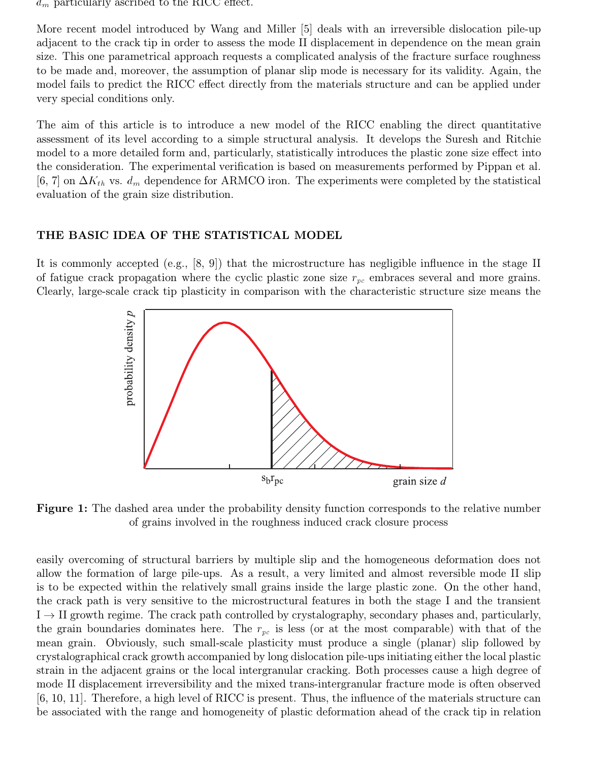$d_m$  particularly ascribed to the RICC effect.

More recent model introduced by Wang and Miller [5] deals with an irreversible dislocation pile-up adjacent to the crack tip in order to assess the mode II displacement in dependence on the mean grain size. This one parametrical approach requests a complicated analysis of the fracture surface roughness to be made and, moreover, the assumption of planar slip mode is necessary for its validity. Again, the model fails to predict the RICC effect directly from the materials structure and can be applied under very special conditions only.

The aim of this article is to introduce a new model of the RICC enabling the direct quantitative assessment of its level according to a simple structural analysis. It develops the Suresh and Ritchie model to a more detailed form and, particularly, statistically introduces the plastic zone size effect into the consideration. The experimental verification is based on measurements performed by Pippan et al. [6, 7] on  $\Delta K_{th}$  vs.  $d_m$  dependence for ARMCO iron. The experiments were completed by the statistical evaluation of the grain size distribution.

# THE BASIC IDEA OF THE BASIC IDEA OF THE STATISTICAL MODEL IN STATISTICAL MODEL IN STATISTICAL MODEL IN STATISTICAL MODEL IN STATISTICAL MODEL IN STATISTICAL MODEL IN STATISTICAL MODEL IN STATISTICAL MODEL IN STATISTICAL MO

It is commonly accepted (e.g., [8, 9]) that the microstructure has negligible influence in the stage II of fatigue crack propagation where the cyclic plastic zone size  $r_{pc}$  embraces several and more grains. Clearly, large-scale crack tip plasticity in comparison with the characteristic structure size means the



Figure 1: The dashed area under the probability density function corresponds to the relative number of grains involved in the roughness induced crack closure process

easily overcoming of structural barriers by multiple slip and the homogeneous deformation does not allow the formation of large pile-ups. As a result, a very limited and almost reversible mode II slip is to be expected within the relatively small grains inside the large plastic zone. On the other hand, the crack path is very sensitive to the microstructural features in both the stage I and the transient  $I \rightarrow II$  growth regime. The crack path controlled by crystalography, secondary phases and, particularly, the grain boundaries dominates here. The  $r_{pc}$  is less (or at the most comparable) with that of the mean grain. Obviously, such small-scale plasticity must produce a single (planar) slip followed by crystalographical crack growth accompanied by long dislocation pile-ups initiating either the local plastic strain in the adjacent grains or the local intergranular cracking. Both processes cause a high degree of mode II displacement irreversibility and the mixed trans-intergranular fracture mode is often observed [6, 10, 11]. Therefore, a high level of RICC is present. Thus, the influence of the materials structure can be associated with the range and homogeneity of plastic deformation ahead of the crack tip in relation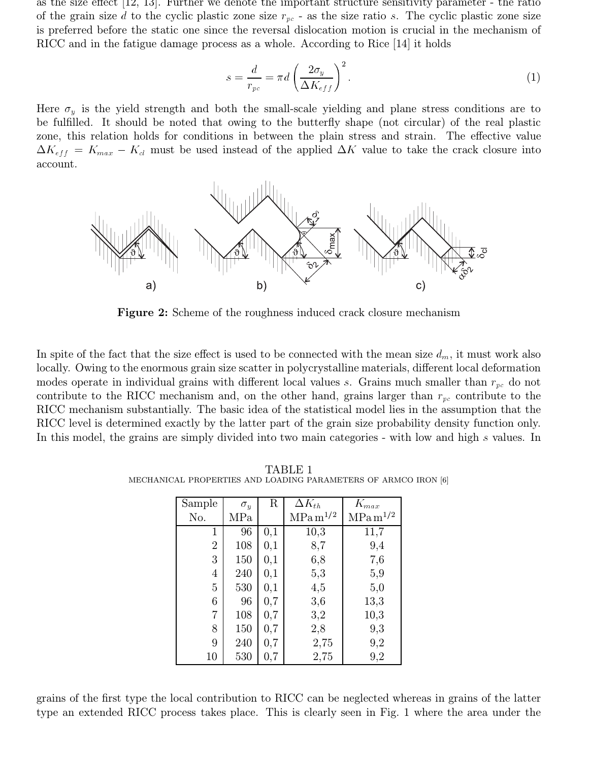as the size effect [12, 13]. Further we denote the important structure sensitivity parameter - the ratio of the grain size d to the cyclic plastic zone size  $r_{pc}$  - as the size ratio s. The cyclic plastic zone size is preferred before the static one since the reversal dislocation motion is crucial in the mechanism of RICC and in the fatigue damage process as a whole. According to Rice [14] it holds

$$
s = \frac{d}{r_{pc}} = \pi d \left( \frac{2\sigma_y}{\Delta K_{eff}} \right)^2.
$$
 (1)

Here  $\sigma_y$  is the yield strength and both the small-scale yielding and plane stress conditions are to be fulfilled. It should be noted that owing to the butterfly shape (not circular) of the real plastic zone, this relation holds for conditions in between the plain stress and strain. The effective value  $\Delta K_{eff} = K_{max} - K_{cl}$  must be used instead of the applied  $\Delta K$  value to take the crack closure into account.



Figure 2: Scheme of the roughness induced crack closure mechanism

In spite of the fact that the size effect is used to be connected with the mean size  $d_m$ , it must work also locally. Owing to the enormous grain size scatter in polycrystalline materials, different local deformation modes operate in individual grains with different local values s. Grains much smaller than  $r_{pc}$  do not contribute to the RICC mechanism and, on the other hand, grains larger than  $r_{pc}$  contribute to the RICC mechanism substantially. The basic idea of the statistical model lies in the assumption that the RICC level is determined exactly by the latter part of the grain size probability density function only. In this model, the grains are simply divided into two main categories - with low and high s values. In

| Sample         | $\sigma_y$ | $\rm R$ | $\Delta K_{th}$ | $K_{max}$     |
|----------------|------------|---------|-----------------|---------------|
| No.            | MPa        |         | $MPa m^{1/2}$   | $MPa m^{1/2}$ |
| 1              | 96         | 0,1     | 10,3            | 11,7          |
| $\overline{2}$ | 108        | 0,1     | 8,7             | 9,4           |
| 3              | 150        | 0,1     | 6,8             | 7,6           |
| 4              | 240        | 0,1     | 5,3             | 5,9           |
| 5              | 530        | 0,1     | 4,5             | 5,0           |
| 6              | 96         | 0,7     | 3,6             | 13,3          |
| 7              | 108        | 0,7     | 3,2             | 10,3          |
| 8              | 150        | 0,7     | 2,8             | 9,3           |
| 9              | 240        | 0,7     | 2,75            | 9,2           |
| 10             | 530        | 0,7     | 2,75            | 9,2           |

TABLE 1 MECHANICAL PROPERTIES AND LOADING PARAMETERS OF ARMCO IRON [6]

grains of the first type the local contribution to RICC can be neglected whereas in grains of the latter type an extended RICC process takes place. This is clearly seen in Fig. 1 where the area under the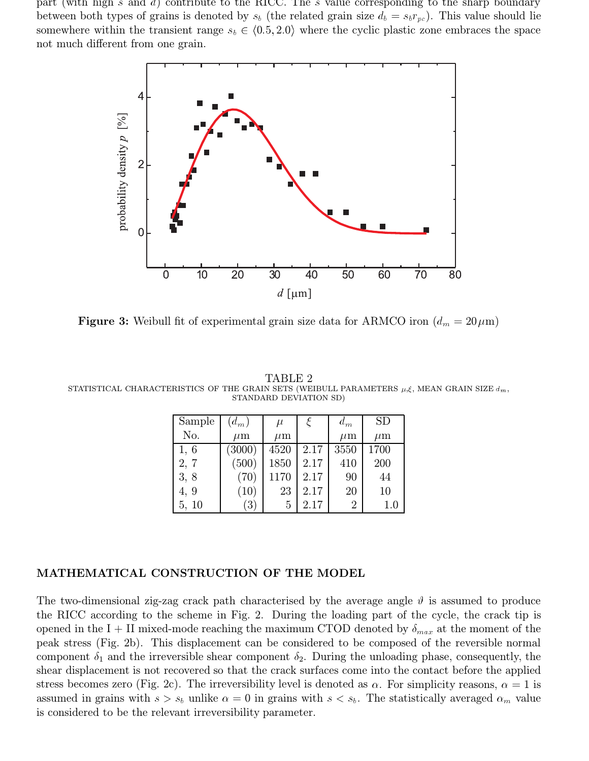part (with high s and d) contribute to the RICC. The s value corresponding to the sharp boundary between both types of grains is denoted by  $s_b$  (the related grain size  $d_b = s_b r_{pc}$ ). This value should lie somewhere within the transient range  $s_b \in (0.5, 2.0)$  where the cyclic plastic zone embraces the space not much different from one grain.



**Figure 3:** Weibull fit of experimental grain size data for ARMCO iron  $(d_m = 20 \,\mu\text{m})$ 

| Sample | $(d_m)$           | μ       |      | $d_m$          | <b>SD</b> |
|--------|-------------------|---------|------|----------------|-----------|
| No.    | $\mu$ m           | $\mu$ m |      | $\mu$ m        | $\mu$ m   |
| 1, 6   | (3000)            | 4520    | 2.17 | 3550           | 1700      |
| 2, 7   | (500)             | 1850    | 2.17 | 410            | 200       |
| 3, 8   | (70)              | 1170    | 2.17 | 90             | 44        |
| 4, 9   | $\left(10\right)$ | 23      | 2.17 | 20             | 10        |
| 5, 10  | $\left(3\right)$  | 5       | 2.17 | $\overline{2}$ | 1.0       |

TABLE 2 STATISTICAL CHARACTERISTICS OF THE GRAIN SETS (WEIBULL PARAMETERS  $\mu$ , $\xi$ , MEAN GRAIN SIZE  $d_m$ , STANDARD DEVIATION SD)

## MATHEMATICAL CONSTRUCTION OF THE MODEL

The two-dimensional zig-zag crack path characterised by the average angle  $\vartheta$  is assumed to produce the RICC according to the scheme in Fig. 2. During the loading part of the cycle, the crack tip is opened in the I + II mixed-mode reaching the maximum CTOD denoted by  $\delta_{max}$  at the moment of the peak stress (Fig. 2b). This displacement can be considered to be composed of the reversible normal component  $\delta_1$  and the irreversible shear component  $\delta_2$ . During the unloading phase, consequently, the shear displacement is not recovered so that the crack surfaces come into the contact before the applied stress becomes zero (Fig. 2c). The irreversibility level is denoted as  $\alpha$ . For simplicity reasons,  $\alpha = 1$  is assumed in grains with  $s>s_b$  unlike  $\alpha=0$  in grains with  $s. The statistically averaged  $\alpha_m$  value$ is considered to be the relevant irreversibility parameter.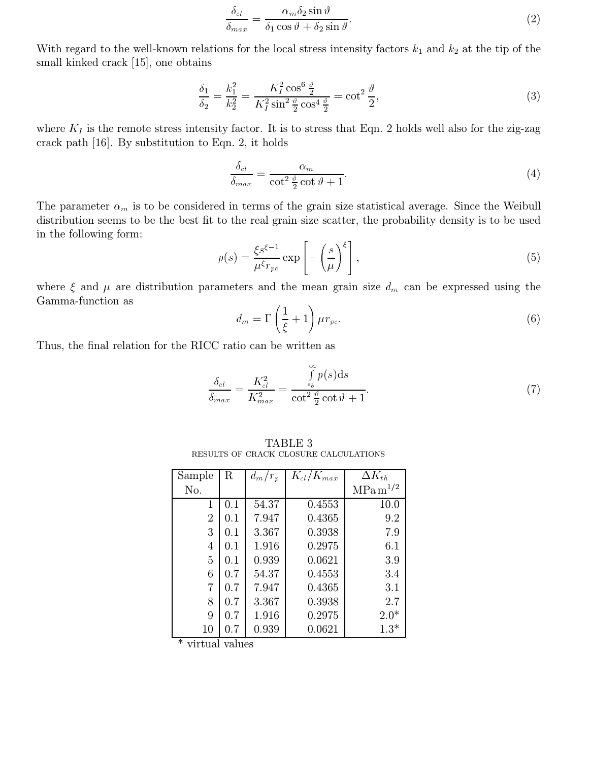$$
\frac{\delta_{cl}}{\delta_{max}} = \frac{\alpha_m \delta_2 \sin \vartheta}{\delta_1 \cos \vartheta + \delta_2 \sin \vartheta}.
$$
\n(2)

With regard to the well-known relations for the local stress intensity factors  $k_1$  and  $k_2$  at the tip of the small kinked crack [15], one obtains

$$
\frac{\delta_1}{\delta_2} = \frac{k_1^2}{k_2^2} = \frac{K_I^2 \cos^6 \frac{\vartheta}{2}}{K_I^2 \sin^2 \frac{\vartheta}{2} \cos^4 \frac{\vartheta}{2}} = \cot^2 \frac{\vartheta}{2},\tag{3}
$$

where  $K_I$  is the remote stress intensity factor. It is to stress that Eqn. 2 holds well also for the zig-zag crack path [16]. By substitution to Eqn. 2, it holds

$$
\frac{\delta_{cl}}{\delta_{max}} = \frac{\alpha_m}{\cot^2 \frac{\vartheta}{2} \cot \vartheta + 1}.
$$
\n(4)

The parameter  $\alpha_m$  is to be considered in terms of the grain size statistical average. Since the Weibull distribution seems to be the best fit to the real grain size scatter, the probability density is to be used in the following form:

$$
p(s) = \frac{\xi s^{\xi - 1}}{\mu^{\xi} r_{pc}} \exp\left[-\left(\frac{s}{\mu}\right)^{\xi}\right],
$$
\n(5)

where  $\xi$  and  $\mu$  are distribution parameters and the mean grain size  $d_m$  can be expressed using the Gamma-function as

$$
d_m = \Gamma\left(\frac{1}{\xi} + 1\right) \mu r_{pc}.\tag{6}
$$

Thus, the final relation for the RICC ratio can be written as

$$
\frac{\delta_{cl}}{\delta_{max}} = \frac{K_{cl}^2}{K_{max}^2} = \frac{\int\limits_{s_b}^{\infty} p(s)ds}{\cot^2 \frac{\vartheta}{2} \cot \vartheta + 1}.
$$
\n(7)

| Sample | $\rm R$ | $d_m/r_p$ | $K_{cl}/K_{max}$ | $\Delta{K}_{th}$ |
|--------|---------|-----------|------------------|------------------|
| No.    |         |           |                  | $MPa m^{1/2}$    |
| 1      | 0.1     | 54.37     | 0.4553           | 10.0             |
| 2      | 0.1     | 7.947     | 0.4365           | 9.2              |
| 3      | 0.1     | 3.367     | 0.3938           | 7.9              |
| 4      | 0.1     | 1.916     | 0.2975           | 6.1              |
| 5      | 0.1     | 0.939     | 0.0621           | 3.9              |
| 6      | 0.7     | 54.37     | 0.4553           | 3.4              |
| 7      | 0.7     | 7.947     | 0.4365           | 3.1              |
| 8      | 0.7     | 3.367     | 0.3938           | 2.7              |
| 9      | 0.7     | 1.916     | 0.2975           | $2.0*$           |
| 10     | 0.7     | 0.939     | 0.0621           | $1.3*$           |

TABLE 3 RESULTS OF CRACK CLOSURE CALCULATIONS

\* virtual values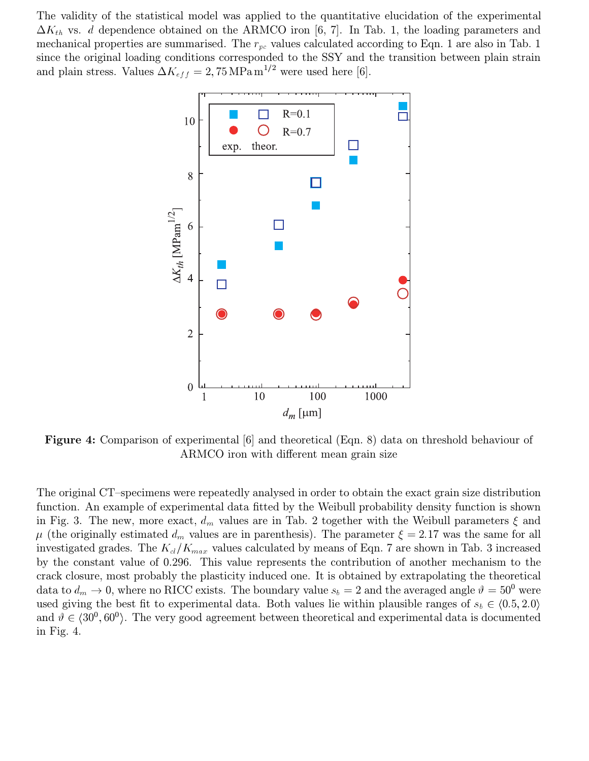The validity of the statistical model was applied to the quantitative elucidation of the experimental  $\Delta K_{th}$  vs. d dependence obtained on the ARMCO iron [6, 7]. In Tab. 1, the loading parameters and mechanical properties are summarised. The  $r_{pc}$  values calculated according to Eqn. 1 are also in Tab. 1 since the original loading conditions corresponded to the SSY and the transition between plain strain and plain stress. Values  $\Delta K_{eff} = 2{,}75 \text{ MPa m}^{1/2}$  were used here [6].



Figure 4: Comparison of experimental [6] and theoretical (Eqn. 8) data on threshold behaviour of ARMCO iron with different mean grain size

The original CT–specimens were repeatedly analysed in order to obtain the exact grain size distribution function. An example of experimental data fitted by the Weibull probability density function is shown in Fig. 3. The new, more exact,  $d_m$  values are in Tab. 2 together with the Weibull parameters  $\xi$  and  $\mu$  (the originally estimated  $d_m$  values are in parenthesis). The parameter  $\xi = 2.17$  was the same for all investigated grades. The  $K_{cl}/K_{max}$  values calculated by means of Eqn. 7 are shown in Tab. 3 increased by the constant value of 0.296. This value represents the contribution of another mechanism to the crack closure, most probably the plasticity induced one. It is obtained by extrapolating the theoretical data to  $d_m \to 0$ , where no RICC exists. The boundary value  $s_b = 2$  and the averaged angle  $\vartheta = 50^0$  were used giving the best fit to experimental data. Both values lie within plausible ranges of  $s_b \in (0.5, 2.0)$ and  $\vartheta \in (30^0, 60^0)$ . The very good agreement between theoretical and experimental data is documented in Fig. 4.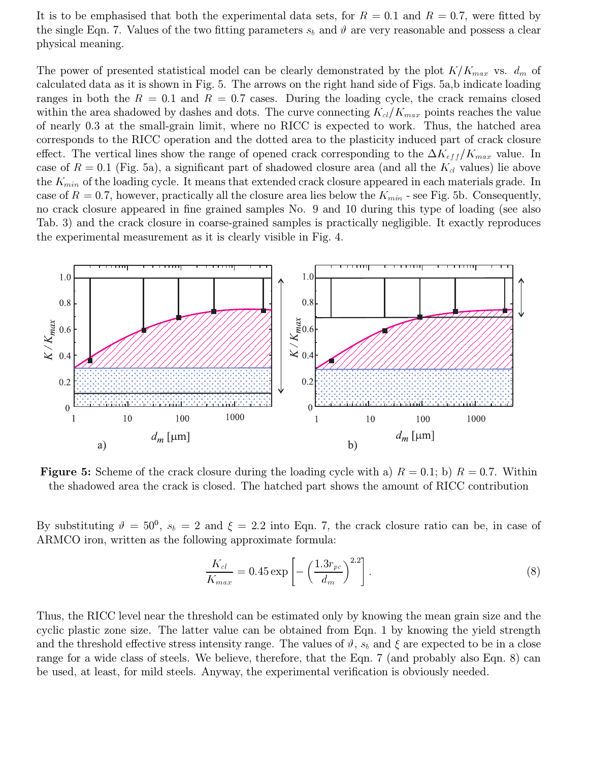It is to be emphasised that both the experimental data sets, for  $R = 0.1$  and  $R = 0.7$ , were fitted by the single Eqn. 7. Values of the two fitting parameters  $s_b$  and  $\theta$  are very reasonable and possess a clear physical meaning.

The power of presented statistical model can be clearly demonstrated by the plot  $K/K_{max}$  vs.  $d_m$  of calculated data as it is shown in Fig. 5. The arrows on the right hand side of Figs. 5a,b indicate loading ranges in both the  $R = 0.1$  and  $R = 0.7$  cases. During the loading cycle, the crack remains closed within the area shadowed by dashes and dots. The curve connecting  $K_{cl}/K_{max}$  points reaches the value of nearly 0.3 at the small-grain limit, where no RICC is expected to work. Thus, the hatched area corresponds to the RICC operation and the dotted area to the plasticity induced part of crack closure effect. The vertical lines show the range of opened crack corresponding to the  $\Delta K_{eff}/K_{max}$  value. In case of  $R = 0.1$  (Fig. 5a), a significant part of shadowed closure area (and all the  $K_{cl}$  values) lie above the  $K_{min}$  of the loading cycle. It means that extended crack closure appeared in each materials grade. In case of  $R = 0.7$ , however, practically all the closure area lies below the  $K_{min}$  - see Fig. 5b. Consequently, no crack closure appeared in fine grained samples No. 9 and 10 during this type of loading (see also Tab. 3) and the crack closure in coarse-grained samples is practically negligible. It exactly reproduces the experimental measurement as it is clearly visible in Fig. 4.



**Figure 5:** Scheme of the crack closure during the loading cycle with a)  $R = 0.1$ ; b)  $R = 0.7$ . Within the shadowed area the crack is closed. The hatched part shows the amount of RICC contribution

By substituting  $\vartheta = 50^0$ ,  $s_b = 2$  and  $\xi = 2.2$  into Eqn. 7, the crack closure ratio can be, in case of ARMCO iron, written as the following approximate formula:

$$
\frac{K_{cl}}{K_{max}} = 0.45 \exp\left[-\left(\frac{1.3r_{pc}}{d_m}\right)^{2.2}\right].
$$
\n(8)

Thus, the RICC level near the threshold can be estimated only by knowing the mean grain size and the cyclic plastic zone size. The latter value can be obtained from Eqn. 1 by knowing the yield strength and the threshold effective stress intensity range. The values of  $\vartheta$ ,  $s_b$  and  $\xi$  are expected to be in a close range for a wide class of steels. We believe, therefore, that the Eqn. 7 (and probably also Eqn. 8) can be used, at least, for mild steels. Anyway, the experimental verification is obviously needed.